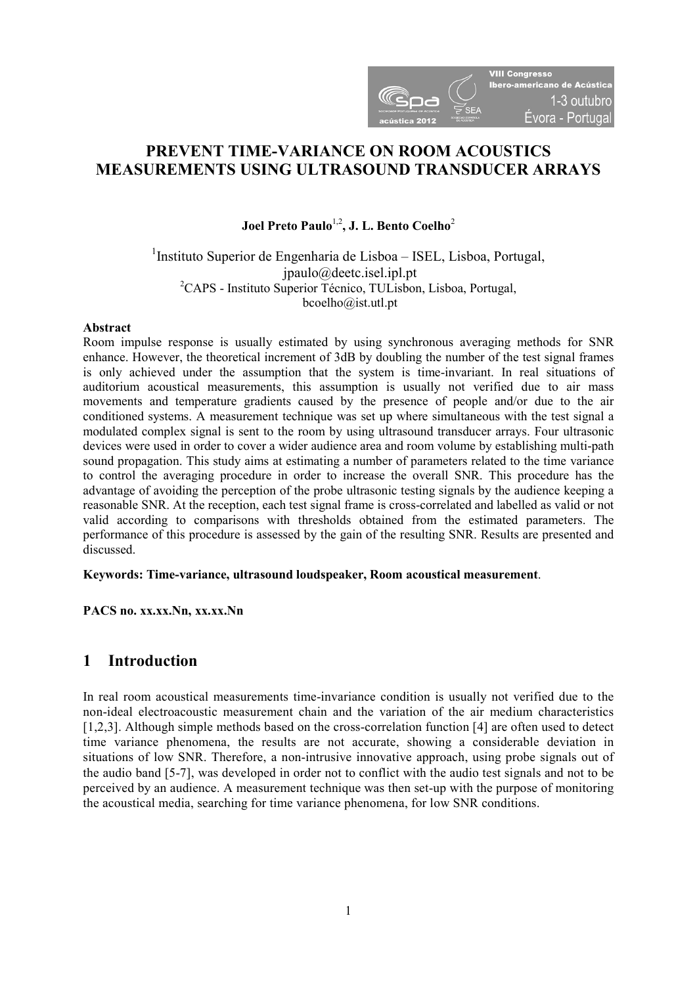

# **PREVENT TIME-VARIANCE ON ROOM ACOUSTICS MEASUREMENTS USING ULTRASOUND TRANSDUCER ARRAYS**

## Joel Preto Paulo<sup>1,2</sup>, J. L. Bento Coelho<sup>2</sup>

### <sup>1</sup>Instituto Superior de Engenharia de Lisboa - ISEL, Lisboa, Portugal, jpaulo@deetc.isel.ipl.pt <sup>2</sup>CAPS - Instituto Superior Técnico, TULisbon, Lisboa, Portugal, bcoelho@ist.utl.pt

#### **Abstract**

Room impulse response is usually estimated by using synchronous averaging methods for SNR enhance. However, the theoretical increment of 3dB by doubling the number of the test signal frames is only achieved under the assumption that the system is time-invariant. In real situations of auditorium acoustical measurements, this assumption is usually not verified due to air mass movements and temperature gradients caused by the presence of people and/or due to the air conditioned systems. A measurement technique was set up where simultaneous with the test signal a modulated complex signal is sent to the room by using ultrasound transducer arrays. Four ultrasonic devices were used in order to cover a wider audience area and room volume by establishing multi-path sound propagation. This study aims at estimating a number of parameters related to the time variance to control the averaging procedure in order to increase the overall SNR. This procedure has the advantage of avoiding the perception of the probe ultrasonic testing signals by the audience keeping a reasonable SNR. At the reception, each test signal frame is cross-correlated and labelled as valid or not valid according to comparisons with thresholds obtained from the estimated parameters. The performance of this procedure is assessed by the gain of the resulting SNR. Results are presented and discussed.

### **Keywords: Time-variance, ultrasound loudspeaker, Room acoustical measurement**.

**PACS no. xx.xx.Nn, xx.xx.Nn** 

## **1 Introduction**

In real room acoustical measurements time-invariance condition is usually not verified due to the non-ideal electroacoustic measurement chain and the variation of the air medium characteristics [1,2,3]. Although simple methods based on the cross-correlation function [4] are often used to detect time variance phenomena, the results are not accurate, showing a considerable deviation in situations of low SNR. Therefore, a non-intrusive innovative approach, using probe signals out of the audio band [5-7], was developed in order not to conflict with the audio test signals and not to be perceived by an audience. A measurement technique was then set-up with the purpose of monitoring the acoustical media, searching for time variance phenomena, for low SNR conditions.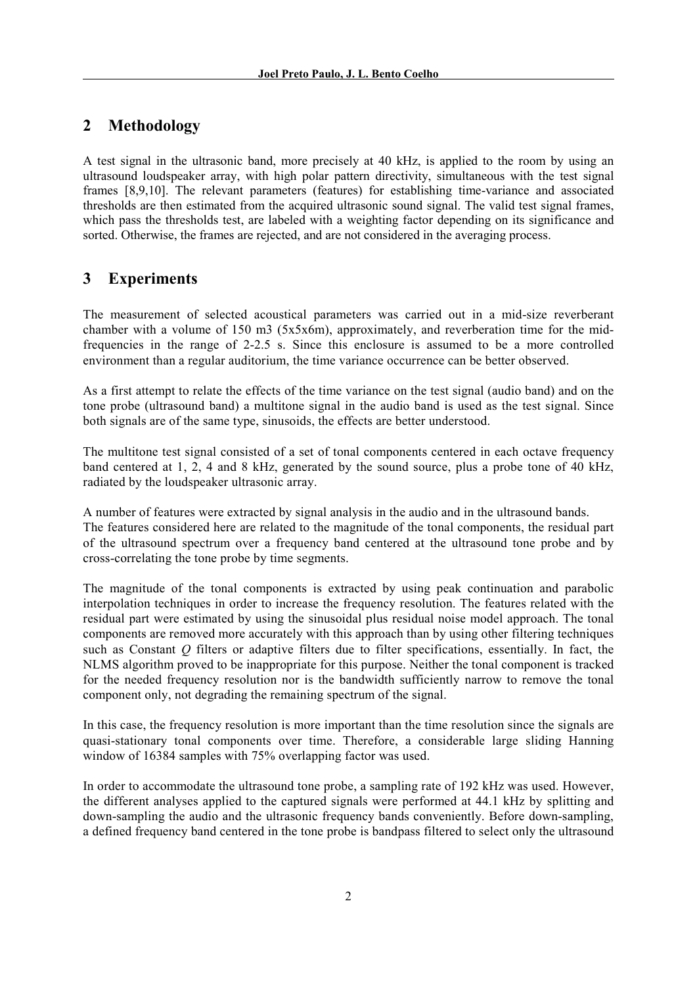# **2 Methodology**

A test signal in the ultrasonic band, more precisely at 40 kHz, is applied to the room by using an ultrasound loudspeaker array, with high polar pattern directivity, simultaneous with the test signal frames [8,9,10]. The relevant parameters (features) for establishing time-variance and associated thresholds are then estimated from the acquired ultrasonic sound signal. The valid test signal frames, which pass the thresholds test, are labeled with a weighting factor depending on its significance and sorted. Otherwise, the frames are rejected, and are not considered in the averaging process.

# **3 Experiments**

The measurement of selected acoustical parameters was carried out in a mid-size reverberant chamber with a volume of 150 m3 (5x5x6m), approximately, and reverberation time for the midfrequencies in the range of 2-2.5 s. Since this enclosure is assumed to be a more controlled environment than a regular auditorium, the time variance occurrence can be better observed.

As a first attempt to relate the effects of the time variance on the test signal (audio band) and on the tone probe (ultrasound band) a multitone signal in the audio band is used as the test signal. Since both signals are of the same type, sinusoids, the effects are better understood.

The multitone test signal consisted of a set of tonal components centered in each octave frequency band centered at 1, 2, 4 and 8 kHz, generated by the sound source, plus a probe tone of 40 kHz, radiated by the loudspeaker ultrasonic array.

A number of features were extracted by signal analysis in the audio and in the ultrasound bands. The features considered here are related to the magnitude of the tonal components, the residual part of the ultrasound spectrum over a frequency band centered at the ultrasound tone probe and by cross-correlating the tone probe by time segments.

The magnitude of the tonal components is extracted by using peak continuation and parabolic interpolation techniques in order to increase the frequency resolution. The features related with the residual part were estimated by using the sinusoidal plus residual noise model approach. The tonal components are removed more accurately with this approach than by using other filtering techniques such as Constant *Q* filters or adaptive filters due to filter specifications, essentially. In fact, the NLMS algorithm proved to be inappropriate for this purpose. Neither the tonal component is tracked for the needed frequency resolution nor is the bandwidth sufficiently narrow to remove the tonal component only, not degrading the remaining spectrum of the signal.

In this case, the frequency resolution is more important than the time resolution since the signals are quasi-stationary tonal components over time. Therefore, a considerable large sliding Hanning window of 16384 samples with 75% overlapping factor was used.

In order to accommodate the ultrasound tone probe, a sampling rate of 192 kHz was used. However, the different analyses applied to the captured signals were performed at 44.1 kHz by splitting and down-sampling the audio and the ultrasonic frequency bands conveniently. Before down-sampling, a defined frequency band centered in the tone probe is bandpass filtered to select only the ultrasound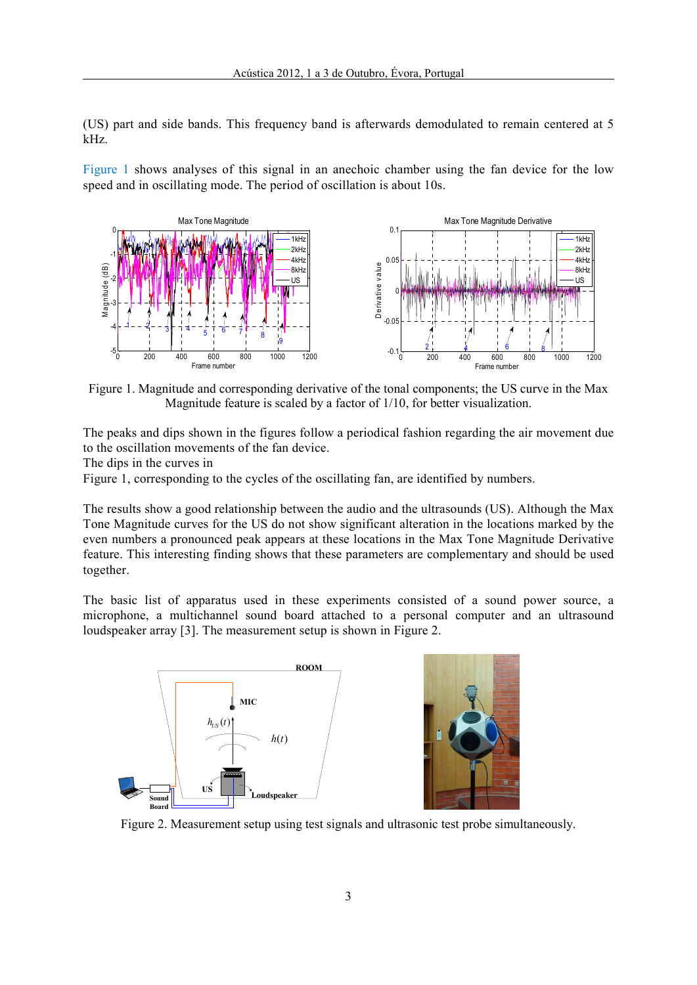(US) part and side bands. This frequency band is afterwards demodulated to remain centered at 5 kHz.

Figure 1 shows analyses of this signal in an anechoic chamber using the fan device for the low speed and in oscillating mode. The period of oscillation is about 10s.



Figure 1. Magnitude and corresponding derivative of the tonal components; the US curve in the Max Magnitude feature is scaled by a factor of 1/10, for better visualization.

The peaks and dips shown in the figures follow a periodical fashion regarding the air movement due to the oscillation movements of the fan device.

The dips in the curves in

Figure 1, corresponding to the cycles of the oscillating fan, are identified by numbers.

The results show a good relationship between the audio and the ultrasounds (US). Although the Max Tone Magnitude curves for the US do not show significant alteration in the locations marked by the even numbers a pronounced peak appears at these locations in the Max Tone Magnitude Derivative feature. This interesting finding shows that these parameters are complementary and should be used together.

The basic list of apparatus used in these experiments consisted of a sound power source, a microphone, a multichannel sound board attached to a personal computer and an ultrasound loudspeaker array [3]. The measurement setup is shown in Figure 2.



Figure 2. Measurement setup using test signals and ultrasonic test probe simultaneously.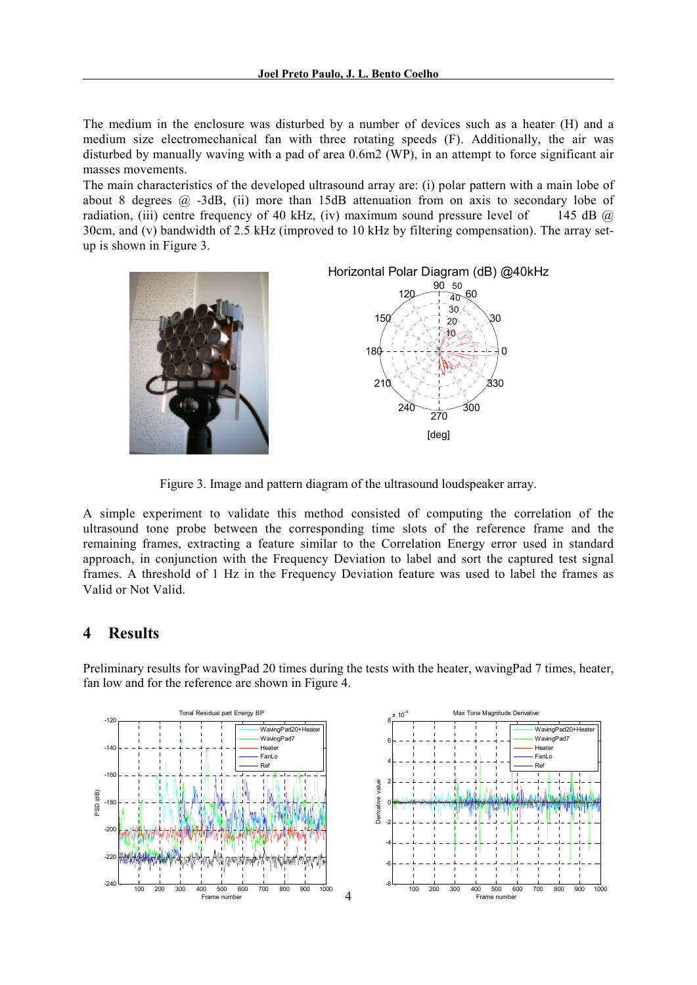The medium in the enclosure was disturbed by a number of devices such as a heater (H) and a medium size electromechanical fan with three rotating speeds (F). Additionally, the air was disturbed by manually waving with a pad of area 0.6m2 (WP), in an attempt to force significant air masses movements.

The main characteristics of the developed ultrasound array are: (i) polar pattern with a main lobe of about 8 degrees  $\omega$  -3dB, (ii) more than 15dB attenuation from on axis to secondary lobe of radiation, (iii) centre frequency of 40 kHz, (iv) maximum sound pressure level of 145 dB  $\omega$ 30cm, and (v) bandwidth of 2.5 kHz (improved to 10 kHz by filtering compensation). The array setup is shown in Figure 3.





Figure 3. Image and pattern diagram of the ultrasound loudspeaker array.

A simple experiment to validate this method consisted of computing the correlation of the ultrasound tone probe between the corresponding time slots of the reference frame and the remaining frames, extracting a feature similar to the Correlation Energy error used in standard approach, in conjunction with the Frequency Deviation to label and sort the captured test signal frames. A threshold of 1 Hz in the Frequency Deviation feature was used to label the frames as Valid or Not Valid.

## **4 Results**

Preliminary results for wavingPad 20 times during the tests with the heater, wavingPad 7 times, heater, fan low and for the reference are shown in Figure 4.

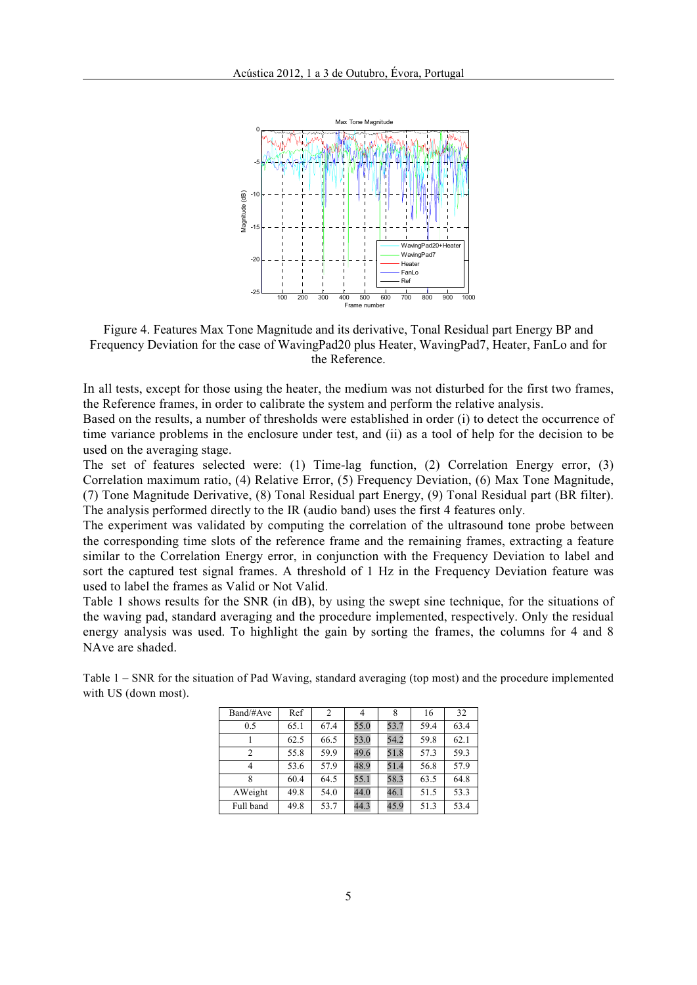

Figure 4. Features Max Tone Magnitude and its derivative, Tonal Residual part Energy BP and Frequency Deviation for the case of WavingPad20 plus Heater, WavingPad7, Heater, FanLo and for the Reference.

In all tests, except for those using the heater, the medium was not disturbed for the first two frames, the Reference frames, in order to calibrate the system and perform the relative analysis.

Based on the results, a number of thresholds were established in order (i) to detect the occurrence of time variance problems in the enclosure under test, and (ii) as a tool of help for the decision to be used on the averaging stage.

The set of features selected were: (1) Time-lag function, (2) Correlation Energy error, (3) Correlation maximum ratio, (4) Relative Error, (5) Frequency Deviation, (6) Max Tone Magnitude, (7) Tone Magnitude Derivative, (8) Tonal Residual part Energy, (9) Tonal Residual part (BR filter). The analysis performed directly to the IR (audio band) uses the first 4 features only.

The experiment was validated by computing the correlation of the ultrasound tone probe between the corresponding time slots of the reference frame and the remaining frames, extracting a feature similar to the Correlation Energy error, in conjunction with the Frequency Deviation to label and sort the captured test signal frames. A threshold of 1 Hz in the Frequency Deviation feature was used to label the frames as Valid or Not Valid.

Table 1 shows results for the SNR (in dB), by using the swept sine technique, for the situations of the waving pad, standard averaging and the procedure implemented, respectively. Only the residual energy analysis was used. To highlight the gain by sorting the frames, the columns for 4 and 8 NAve are shaded.

|  | Band/#Ave | Ref  | 2    | 4    | 8    | 16   | 32   |
|--|-----------|------|------|------|------|------|------|
|  | 0.5       | 65.1 | 67.4 | 55.0 | 53.7 | 59.4 | 63.4 |
|  |           | 62.5 | 66.5 | 53.0 | 54.2 | 59.8 | 62.1 |
|  | 2         | 55.8 | 59.9 | 49.6 | 51.8 | 57.3 | 59.3 |
|  | 4         | 53.6 | 57.9 | 48.9 | 51.4 | 56.8 | 57.9 |
|  | 8         | 60.4 | 64.5 | 55.1 | 58.3 | 63.5 | 64.8 |
|  | AWeight   | 49.8 | 54.0 | 44.0 | 46.1 | 51.5 | 53.3 |
|  | Full band | 49.8 | 53.7 | 44.3 | 45.9 | 51.3 | 53.4 |

Table 1 – SNR for the situation of Pad Waving, standard averaging (top most) and the procedure implemented with US (down most).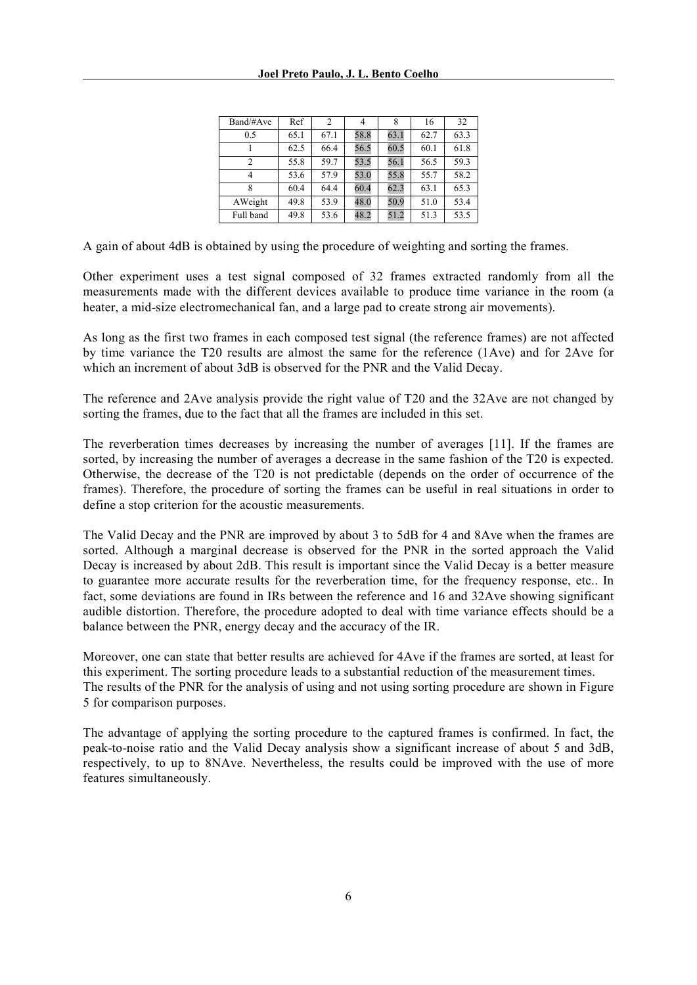| Band/#Ave      | Ref  | 2    |      | 8    | 16   | 32   |
|----------------|------|------|------|------|------|------|
| 0.5            | 65.1 | 67.1 | 58.8 | 63.1 | 62.7 | 63.3 |
|                | 62.5 | 66.4 | 56.5 | 60.5 | 60.1 | 61.8 |
| $\mathfrak{D}$ | 55.8 | 59.7 | 53.5 | 56.1 | 56.5 | 59.3 |
|                | 53.6 | 57.9 | 53.0 | 55.8 | 55.7 | 58.2 |
| 8              | 60.4 | 64.4 | 60.4 | 62.3 | 63.1 | 65.3 |
| AWeight        | 49.8 | 53.9 | 48.0 | 50.9 | 51.0 | 53.4 |
| Full band      | 49.8 | 53.6 | 48.2 | 51.2 | 51.3 | 53.5 |

A gain of about 4dB is obtained by using the procedure of weighting and sorting the frames.

Other experiment uses a test signal composed of 32 frames extracted randomly from all the measurements made with the different devices available to produce time variance in the room (a heater, a mid-size electromechanical fan, and a large pad to create strong air movements).

As long as the first two frames in each composed test signal (the reference frames) are not affected by time variance the T20 results are almost the same for the reference (1Ave) and for 2Ave for which an increment of about 3dB is observed for the PNR and the Valid Decay.

The reference and 2Ave analysis provide the right value of T20 and the 32Ave are not changed by sorting the frames, due to the fact that all the frames are included in this set.

The reverberation times decreases by increasing the number of averages [11]. If the frames are sorted, by increasing the number of averages a decrease in the same fashion of the T20 is expected. Otherwise, the decrease of the T20 is not predictable (depends on the order of occurrence of the frames). Therefore, the procedure of sorting the frames can be useful in real situations in order to define a stop criterion for the acoustic measurements.

The Valid Decay and the PNR are improved by about 3 to 5dB for 4 and 8Ave when the frames are sorted. Although a marginal decrease is observed for the PNR in the sorted approach the Valid Decay is increased by about 2dB. This result is important since the Valid Decay is a better measure to guarantee more accurate results for the reverberation time, for the frequency response, etc.. In fact, some deviations are found in IRs between the reference and 16 and 32Ave showing significant audible distortion. Therefore, the procedure adopted to deal with time variance effects should be a balance between the PNR, energy decay and the accuracy of the IR.

Moreover, one can state that better results are achieved for 4Ave if the frames are sorted, at least for this experiment. The sorting procedure leads to a substantial reduction of the measurement times. The results of the PNR for the analysis of using and not using sorting procedure are shown in Figure 5 for comparison purposes.

The advantage of applying the sorting procedure to the captured frames is confirmed. In fact, the peak-to-noise ratio and the Valid Decay analysis show a significant increase of about 5 and 3dB, respectively, to up to 8NAve. Nevertheless, the results could be improved with the use of more features simultaneously.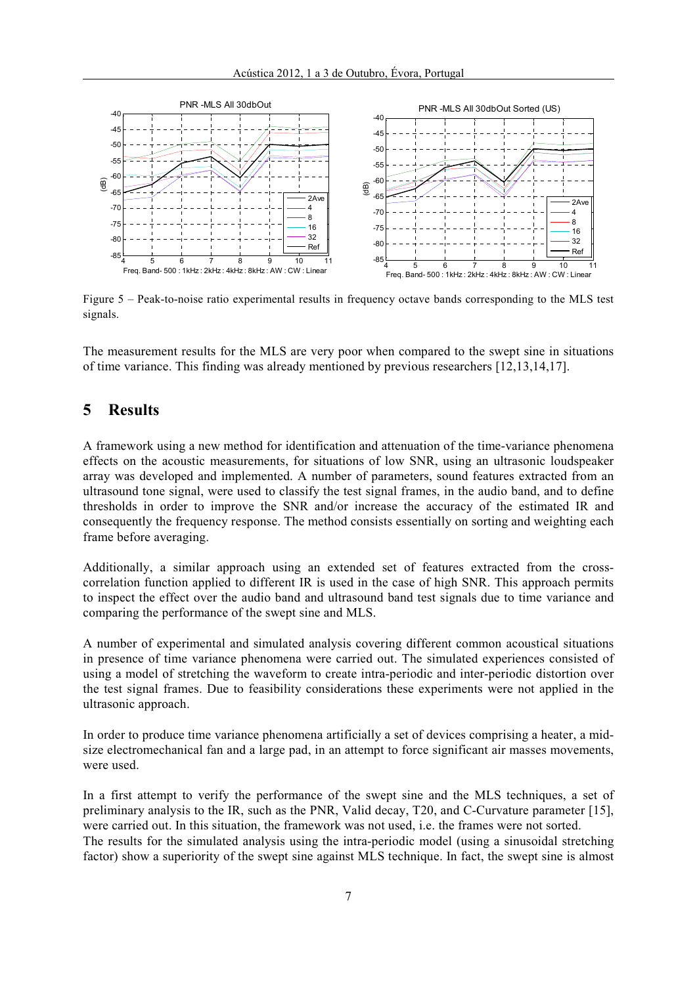

Figure 5 – Peak-to-noise ratio experimental results in frequency octave bands corresponding to the MLS test signals.

The measurement results for the MLS are very poor when compared to the swept sine in situations of time variance. This finding was already mentioned by previous researchers [12,13,14,17].

## **5 Results**

A framework using a new method for identification and attenuation of the time-variance phenomena effects on the acoustic measurements, for situations of low SNR, using an ultrasonic loudspeaker array was developed and implemented. A number of parameters, sound features extracted from an ultrasound tone signal, were used to classify the test signal frames, in the audio band, and to define thresholds in order to improve the SNR and/or increase the accuracy of the estimated IR and consequently the frequency response. The method consists essentially on sorting and weighting each frame before averaging.

Additionally, a similar approach using an extended set of features extracted from the crosscorrelation function applied to different IR is used in the case of high SNR. This approach permits to inspect the effect over the audio band and ultrasound band test signals due to time variance and comparing the performance of the swept sine and MLS.

A number of experimental and simulated analysis covering different common acoustical situations in presence of time variance phenomena were carried out. The simulated experiences consisted of using a model of stretching the waveform to create intra-periodic and inter-periodic distortion over the test signal frames. Due to feasibility considerations these experiments were not applied in the ultrasonic approach.

In order to produce time variance phenomena artificially a set of devices comprising a heater, a midsize electromechanical fan and a large pad, in an attempt to force significant air masses movements, were used.

In a first attempt to verify the performance of the swept sine and the MLS techniques, a set of preliminary analysis to the IR, such as the PNR, Valid decay, T20, and C-Curvature parameter [15], were carried out. In this situation, the framework was not used, i.e. the frames were not sorted. The results for the simulated analysis using the intra-periodic model (using a sinusoidal stretching factor) show a superiority of the swept sine against MLS technique. In fact, the swept sine is almost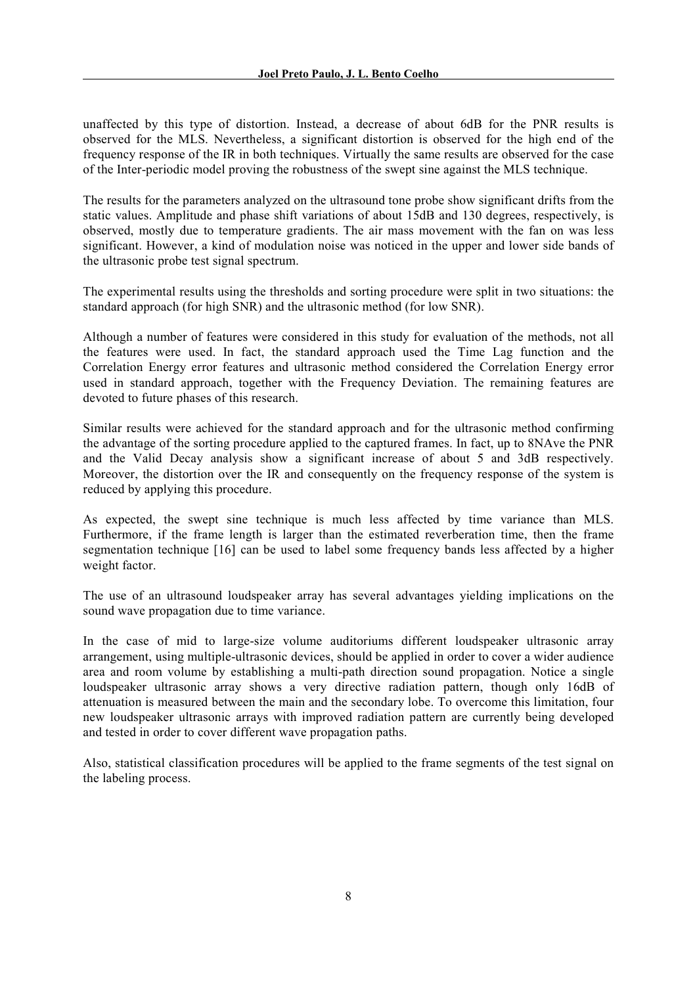unaffected by this type of distortion. Instead, a decrease of about 6dB for the PNR results is observed for the MLS. Nevertheless, a significant distortion is observed for the high end of the frequency response of the IR in both techniques. Virtually the same results are observed for the case of the Inter-periodic model proving the robustness of the swept sine against the MLS technique.

The results for the parameters analyzed on the ultrasound tone probe show significant drifts from the static values. Amplitude and phase shift variations of about 15dB and 130 degrees, respectively, is observed, mostly due to temperature gradients. The air mass movement with the fan on was less significant. However, a kind of modulation noise was noticed in the upper and lower side bands of the ultrasonic probe test signal spectrum.

The experimental results using the thresholds and sorting procedure were split in two situations: the standard approach (for high SNR) and the ultrasonic method (for low SNR).

Although a number of features were considered in this study for evaluation of the methods, not all the features were used. In fact, the standard approach used the Time Lag function and the Correlation Energy error features and ultrasonic method considered the Correlation Energy error used in standard approach, together with the Frequency Deviation. The remaining features are devoted to future phases of this research.

Similar results were achieved for the standard approach and for the ultrasonic method confirming the advantage of the sorting procedure applied to the captured frames. In fact, up to 8NAve the PNR and the Valid Decay analysis show a significant increase of about 5 and 3dB respectively. Moreover, the distortion over the IR and consequently on the frequency response of the system is reduced by applying this procedure.

As expected, the swept sine technique is much less affected by time variance than MLS. Furthermore, if the frame length is larger than the estimated reverberation time, then the frame segmentation technique [16] can be used to label some frequency bands less affected by a higher weight factor.

The use of an ultrasound loudspeaker array has several advantages yielding implications on the sound wave propagation due to time variance.

In the case of mid to large-size volume auditoriums different loudspeaker ultrasonic array arrangement, using multiple-ultrasonic devices, should be applied in order to cover a wider audience area and room volume by establishing a multi-path direction sound propagation. Notice a single loudspeaker ultrasonic array shows a very directive radiation pattern, though only 16dB of attenuation is measured between the main and the secondary lobe. To overcome this limitation, four new loudspeaker ultrasonic arrays with improved radiation pattern are currently being developed and tested in order to cover different wave propagation paths.

Also, statistical classification procedures will be applied to the frame segments of the test signal on the labeling process.